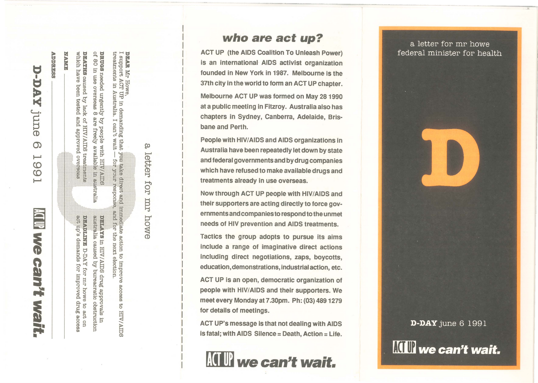ADDREESS **NAME TAAC-C June**  $\Omega$  $\overline{\phantom{0}}$ co co ......... **ACT UP** Ne cam't wait.

overseas in australia  $\frac{1}{2}$  with  $\frac{1}{2}$  in HTV/ADS drug approvals in an<br>assimalia caused by bureacratic obstruction act up's demands for improved DESPLINE D-DAY for mr howe drug access  $\overline{\mathrm{S}}$ act on

**DRUGS** needed urgently by people<br>of 80 in use overseas 8 are freely DEATHS caused by lack of HIV/AIDS treatments

which have been tested

pavorqqa bna

e with HIV AIDS<br>y available in aue

for your response.

**DEAR** Mr Howe,<br>I support ACT UP in demanding that you take direct and immediate action to improve access to HIV/AIDS<br>treatments in Australia. I can't wait — for your response, and for the next election.

യ

letter for mr howe

# **who are act up?**

ACT UP (the AIDS Coalition To Unleash Power) is an international AIDS activist organization founded in New York in 1987. Melbourne is the 37th city in the world to form an ACT UP chapter. Melbourne ACT UP was formed on May 28 1990 at a public meeting in Fitzroy. Australia also has chapters in Sydney, Canberra, Adelaide, Brisbane and Perth.

People with HIV/AIDS and AIDS organizations in Australia have been repeatedly let down by state and federal governments and by drug companies which have refused to make available drugs and treatments already in use overseas .

Now through ACT UP people with HIV/AIDS and their supporters are acting directly to force governments and companies to respond to the unmet needs of HIV prevention and AIDS treatments.

Tactics the group adopts to pursue its aims include a range of imaginative direct actions including direct negotiations, zaps, boycotts, education, demonstrations, industrial action, etc.

ACT UP is an open, democratic organization of people with HIV/AIDS and their supporters. We meet every Monday at 7 .30pm. Ph: (03) 489 1279 for details of meetings.

ACT UP's message is that not dealing with AIDS is fatal; with AIDS Silence = Death, Action = Life.



a letter for mr howe federal minister for health



**KIII** we can't wait.